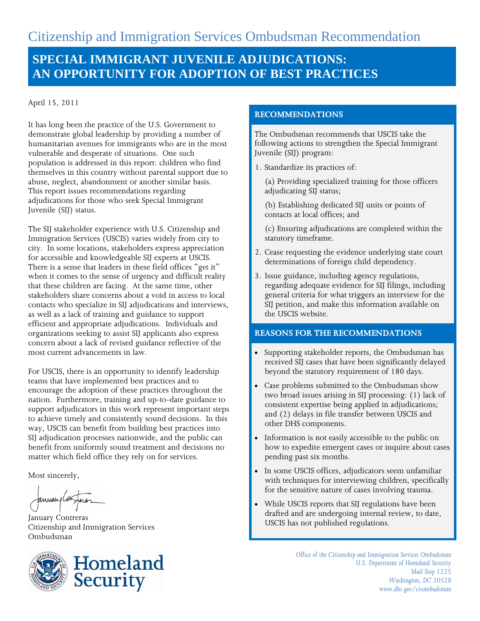# **SPECIAL IMMIGRANT JUVENILE ADJUDICATIONS: AN OPPORTUNITY FOR ADOPTION OF BEST PRACTICES**

April 15, 2011

It has long been the practice of the U.S. Government to demonstrate global leadership by providing a number of humanitarian avenues for immigrants who are in the most vulnerable and desperate of situations. One such population is addressed in this report: children who find themselves in this country without parental support due to abuse, neglect, abandonment or another similar basis. This report issues recommendations regarding adjudications for those who seek Special Immigrant Juvenile (SIJ) status.

The SIJ stakeholder experience with U.S. Citizenship and Immigration Services (USCIS) varies widely from city to city. In some locations, stakeholders express appreciation for accessible and knowledgeable SIJ experts at USCIS. There is a sense that leaders in these field offices "get it" when it comes to the sense of urgency and difficult reality that these children are facing. At the same time, other stakeholders share concerns about a void in access to local contacts who specialize in SIJ adjudications and interviews, as well as a lack of training and guidance to support efficient and appropriate adjudications. Individuals and organizations seeking to assist SIJ applicants also express concern about a lack of revised guidance reflective of the most current advancements in law.

For USCIS, there is an opportunity to identify leadership teams that have implemented best practices and to encourage the adoption of these practices throughout the nation. Furthermore, training and up-to-date guidance to support adjudicators in this work represent important steps to achieve timely and consistently sound decisions. In this way, USCIS can benefit from building best practices into SIJ adjudication processes nationwide, and the public can benefit from uniformly sound treatment and decisions no matter which field office they rely on for services.

Most sincerely,

anuaryla

January Contreras Citizenship and Immigration Services Ombudsman



#### **RECOMMENDATIONS**

The Ombudsman recommends that USCIS take the following actions to strengthen the Special Immigrant Juvenile (SIJ) program:

1. Standardize its practices of:

(a) Providing specialized training for those officers adjudicating SIJ status;

- (b) Establishing dedicated SIJ units or points of contacts at local offices; and
- (c) Ensuring adjudications are completed within the statutory timeframe.
- 2. Cease requesting the evidence underlying state court determinations of foreign child dependency.
- 3. Issue guidance, including agency regulations, regarding adequate evidence for SIJ filings, including general criteria for what triggers an interview for the SIJ petition, and make this information available on the USCIS website.

#### **REASONS FOR THE RECOMMENDATIONS**

- Supporting stakeholder reports, the Ombudsman has received SIJ cases that have been significantly delayed beyond the statutory requirement of 180 days.
- Case problems submitted to the Ombudsman show two broad issues arising in SIJ processing: (1) lack of consistent expertise being applied in adjudications; and (2) delays in file transfer between USCIS and other DHS components.
- Information is not easily accessible to the public on how to expedite emergent cases or inquire about cases pending past six months.
- In some USCIS offices, adjudicators seem unfamiliar with techniques for interviewing children, specifically for the sensitive nature of cases involving trauma.
- While USCIS reports that SIJ regulations have been drafted and are undergoing internal review, to date, USCIS has not published regulations.

*Office of the Citizenship and Immigration Services Ombudsman U.S. Department of Homeland Security Mail Stop 1225 Washington, DC 20528 www.dhs.gov/cisombudsman*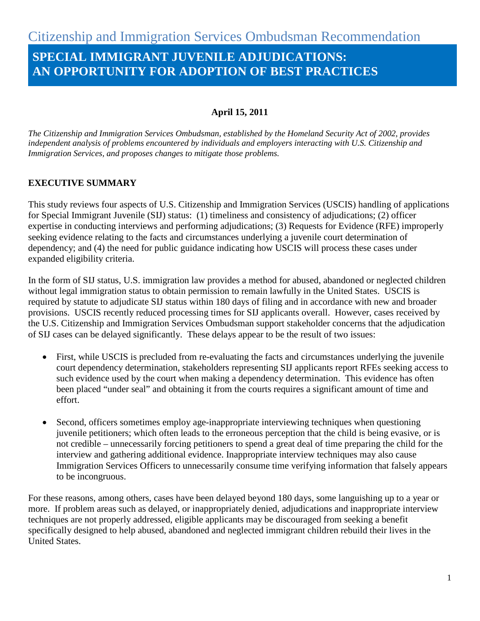# **SPECIAL IMMIGRANT JUVENILE ADJUDICATIONS: AN OPPORTUNITY FOR ADOPTION OF BEST PRACTICES**

# **April 15, 2011**

*The Citizenship and Immigration Services Ombudsman, established by the Homeland Security Act of 2002, provides independent analysis of problems encountered by individuals and employers interacting with U.S. Citizenship and Immigration Services, and proposes changes to mitigate those problems.*

# **EXECUTIVE SUMMARY**

This study reviews four aspects of U.S. Citizenship and Immigration Services (USCIS) handling of applications for Special Immigrant Juvenile (SIJ) status: (1) timeliness and consistency of adjudications; (2) officer expertise in conducting interviews and performing adjudications; (3) Requests for Evidence (RFE) improperly seeking evidence relating to the facts and circumstances underlying a juvenile court determination of dependency; and (4) the need for public guidance indicating how USCIS will process these cases under expanded eligibility criteria.

In the form of SIJ status, U.S. immigration law provides a method for abused, abandoned or neglected children without legal immigration status to obtain permission to remain lawfully in the United States. USCIS is required by statute to adjudicate SIJ status within 180 days of filing and in accordance with new and broader provisions. USCIS recently reduced processing times for SIJ applicants overall. However, cases received by the U.S. Citizenship and Immigration Services Ombudsman support stakeholder concerns that the adjudication of SIJ cases can be delayed significantly. These delays appear to be the result of two issues:

- First, while USCIS is precluded from re-evaluating the facts and circumstances underlying the juvenile court dependency determination, stakeholders representing SIJ applicants report RFEs seeking access to such evidence used by the court when making a dependency determination. This evidence has often been placed "under seal" and obtaining it from the courts requires a significant amount of time and effort.
- Second, officers sometimes employ age-inappropriate interviewing techniques when questioning juvenile petitioners; which often leads to the erroneous perception that the child is being evasive, or is not credible – unnecessarily forcing petitioners to spend a great deal of time preparing the child for the interview and gathering additional evidence. Inappropriate interview techniques may also cause Immigration Services Officers to unnecessarily consume time verifying information that falsely appears to be incongruous.

For these reasons, among others, cases have been delayed beyond 180 days, some languishing up to a year or more. If problem areas such as delayed, or inappropriately denied, adjudications and inappropriate interview techniques are not properly addressed, eligible applicants may be discouraged from seeking a benefit specifically designed to help abused, abandoned and neglected immigrant children rebuild their lives in the United States.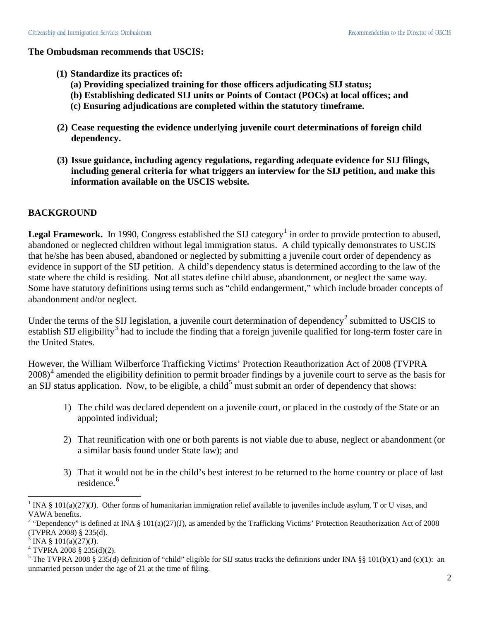#### **The Ombudsman recommends that USCIS:**

- **(1) Standardize its practices of:** 
	- **(a) Providing specialized training for those officers adjudicating SIJ status;**
	- **(b) Establishing dedicated SIJ units or Points of Contact (POCs) at local offices; and**
	- **(c) Ensuring adjudications are completed within the statutory timeframe.**
- **(2) Cease requesting the evidence underlying juvenile court determinations of foreign child dependency.**
- **(3) Issue guidance, including agency regulations, regarding adequate evidence for SIJ filings, including general criteria for what triggers an interview for the SIJ petition, and make this information available on the USCIS website.**

### **BACKGROUND**

**Legal Framework.** In [1](#page-2-0)990, Congress established the SIJ category<sup>1</sup> in order to provide protection to abused, abandoned or neglected children without legal immigration status. A child typically demonstrates to USCIS that he/she has been abused, abandoned or neglected by submitting a juvenile court order of dependency as evidence in support of the SIJ petition. A child's dependency status is determined according to the law of the state where the child is residing. Not all states define child abuse, abandonment, or neglect the same way. Some have statutory definitions using terms such as "child endangerment," which include broader concepts of abandonment and/or neglect.

Under the terms of the SIJ legislation, a juvenile court determination of dependency<sup>[2](#page-2-1)</sup> submitted to USCIS to establish SIJ eligibility<sup>[3](#page-2-2)</sup> had to include the finding that a foreign juvenile qualified for long-term foster care in the United States.

<span id="page-2-5"></span>However, the William Wilberforce Trafficking Victims' Protection Reauthorization Act of 2008 (TVPRA  $2008)^4$  $2008)^4$  amended the eligibility definition to permit broader findings by a juvenile court to serve as the basis for an SIJ status application. Now, to be eligible, a child<sup>[5](#page-2-4)</sup> must submit an order of dependency that shows:

- 1) The child was declared dependent on a juvenile court, or placed in the custody of the State or an appointed individual;
- 2) That reunification with one or both parents is not viable due to abuse, neglect or abandonment (or a similar basis found under State law); and
- 3) That it would not be in the child's best interest to be returned to the home country or place of last residence.<sup>[6](#page-2-5)</sup>

<span id="page-2-0"></span><sup>&</sup>lt;sup>1</sup> INA § 101(a)(27)(J). Other forms of humanitarian immigration relief available to juveniles include asylum, T or U visas, and VAWA benefits.

<span id="page-2-1"></span><sup>&</sup>lt;sup>2</sup> "Dependency" is defined at INA § 101(a)(27)(J), as amended by the Trafficking Victims' Protection Reauthorization Act of 2008 (TVPRA 2008) § 235(d).

INA §  $101(a)(27)(J)$ .

<span id="page-2-3"></span><span id="page-2-2"></span> $4$  TVPRA 2008 § 235(d)(2).

<span id="page-2-4"></span><sup>&</sup>lt;sup>5</sup> The TVPRA 2008 § 235(d) definition of "child" eligible for SIJ status tracks the definitions under INA §§ 101(b)(1) and (c)(1): an unmarried person under the age of 21 at the time of filing.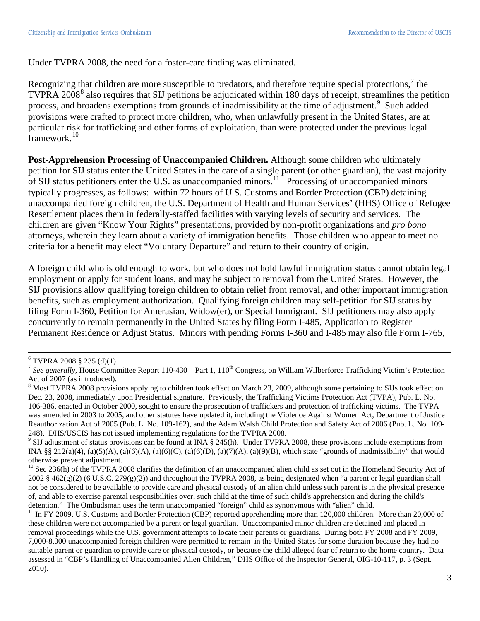Under TVPRA 2008, the need for a foster-care finding was eliminated.

Recognizing that children are more susceptible to predators, and therefore require special protections,  $\frac{7}{1}$  $\frac{7}{1}$  $\frac{7}{1}$  the TVPRA 200[8](#page-3-1)<sup>8</sup> also requires that SIJ petitions be adjudicated within 180 days of receipt, streamlines the petition process, and broadens exemptions from grounds of inadmissibility at the time of adjustment.<sup>[9](#page-3-2)</sup> Such added provisions were crafted to protect more children, who, when unlawfully present in the United States, are at particular risk for trafficking and other forms of exploitation, than were protected under the previous legal framework. [10](#page-3-3)

**Post-Apprehension Processing of Unaccompanied Children.** Although some children who ultimately petition for SIJ status enter the United States in the care of a single parent (or other guardian), the vast majority of SIJ status petitioners enter the U.S. as unaccompanied minors.[11](#page-3-4) Processing of unaccompanied minors typically progresses, as follows: within 72 hours of U.S. Customs and Border Protection (CBP) detaining unaccompanied foreign children, the U.S. Department of Health and Human Services' (HHS) Office of Refugee Resettlement places them in federally-staffed facilities with varying levels of security and services. The children are given "Know Your Rights" presentations, provided by non-profit organizations and *pro bono* attorneys, wherein they learn about a variety of immigration benefits. Those children who appear to meet no criteria for a benefit may elect "Voluntary Departure" and return to their country of origin.

A foreign child who is old enough to work, but who does not hold lawful immigration status cannot obtain legal employment or apply for student loans, and may be subject to removal from the United States. However, the SIJ provisions allow qualifying foreign children to obtain relief from removal, and other important immigration benefits, such as employment authorization. Qualifying foreign children may self-petition for SIJ status by filing Form I-360, Petition for Amerasian, Widow(er), or Special Immigrant. SIJ petitioners may also apply concurrently to remain permanently in the United States by filing Form I-485, Application to Register Permanent Residence or Adjust Status. Minors with pending Forms I-360 and I-485 may also file Form I-765,

 $6$  TVPRA 2008 § 235 (d)(1)

<span id="page-3-0"></span><sup>&</sup>lt;sup>7</sup> See generally, House Committee Report 110-430 – Part 1, 110<sup>th</sup> Congress, on William Wilberforce Trafficking Victim's Protection Act of 2007 (as introduced).<br><sup>8</sup> Most TVPRA 2008 provisions applying to children took effect on March 23, 2009, although some pertaining to SIJs took effect on

<span id="page-3-1"></span>Dec. 23, 2008, immediately upon Presidential signature. Previously, the Trafficking Victims Protection Act (TVPA), Pub. L. No. 106-386, enacted in October 2000, sought to ensure the prosecution of traffickers and protection of trafficking victims. The TVPA was amended in 2003 to 2005, and other statutes have updated it, including the Violence Against Women Act, Department of Justice Reauthorization Act of 2005 (Pub. L. No. 109-162), and the Adam Walsh Child Protection and Safety Act of 2006 (Pub. L. No. 109-

<span id="page-3-2"></span><sup>248).</sup> DHS/USCIS has not issued implementing regulations for the TVPRA 2008.<br><sup>9</sup> SIJ adjustment of status provisions can be found at INA § 245(h). Under TVPRA 2008, these provisions include exemptions from INA §§ 212(a)(4), (a)(5)(A), (a)(6)(A), (a)(6)(C), (a)(6)(D), (a)(7)(A), (a)(9)(B), which state "grounds of inadmissibility" that would otherwise prevent adjustment.

<span id="page-3-3"></span> $10$  Sec 236(h) of the TVPRA 2008 clarifies the definition of an unaccompanied alien child as set out in the Homeland Security Act of  $2002 \text{ § } 462(g)(2)$  (6 U.S.C. 279(g)(2)) and throughout the TVPRA 2008, as being designated when "a parent or legal guardian shall not be considered to be available to provide care and physical custody of an alien child unless such parent is in the physical presence of, and able to exercise parental responsibilities over, such child at the time of such child's apprehension and during the child's detention." The Ombudsman uses the term unaccompanied "foreign" child as synonymous with "alien" child.

<span id="page-3-4"></span> $11$  In FY 2009, U.S. Customs and Border Protection (CBP) reported apprehending more than 120,000 children. More than 20,000 of these children were not accompanied by a parent or legal guardian. Unaccompanied minor children are detained and placed in removal proceedings while the U.S. government attempts to locate their parents or guardians. During both FY 2008 and FY 2009, 7,000-8,000 unaccompanied foreign children were permitted to remain in the United States for some duration because they had no suitable parent or guardian to provide care or physical custody, or because the child alleged fear of return to the home country. Data assessed in "CBP's Handling of Unaccompanied Alien Children," DHS Office of the Inspector General, OIG-10-117, p. 3 (Sept. 2010).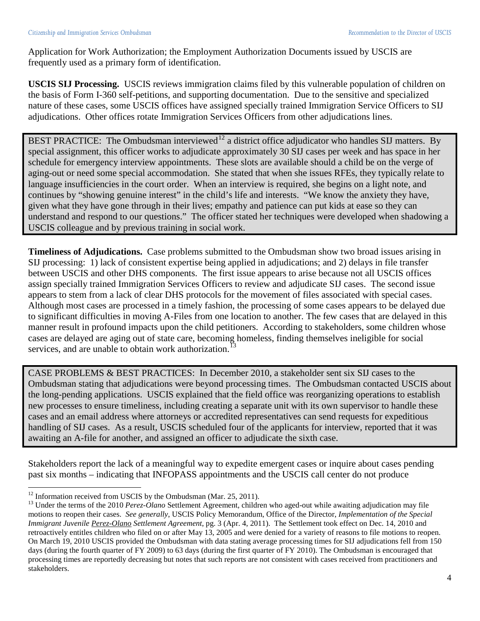Application for Work Authorization; the Employment Authorization Documents issued by USCIS are frequently used as a primary form of identification.

**USCIS SIJ Processing.** USCIS reviews immigration claims filed by this vulnerable population of children on the basis of Form I-360 self-petitions, and supporting documentation. Due to the sensitive and specialized nature of these cases, some USCIS offices have assigned specially trained Immigration Service Officers to SIJ adjudications. Other offices rotate Immigration Services Officers from other adjudications lines.

BEST PRACTICE: The Ombudsman interviewed<sup>[12](#page-4-0)</sup> a district office adjudicator who handles SIJ matters. By special assignment, this officer works to adjudicate approximately 30 SIJ cases per week and has space in her schedule for emergency interview appointments. These slots are available should a child be on the verge of aging-out or need some special accommodation. She stated that when she issues RFEs, they typically relate to language insufficiencies in the court order. When an interview is required, she begins on a light note, and continues by "showing genuine interest" in the child's life and interests. "We know the anxiety they have, given what they have gone through in their lives; empathy and patience can put kids at ease so they can understand and respond to our questions." The officer stated her techniques were developed when shadowing a USCIS colleague and by previous training in social work.

**Timeliness of Adjudications.** Case problems submitted to the Ombudsman show two broad issues arising in SIJ processing: 1) lack of consistent expertise being applied in adjudications; and 2) delays in file transfer between USCIS and other DHS components. The first issue appears to arise because not all USCIS offices assign specially trained Immigration Services Officers to review and adjudicate SIJ cases. The second issue appears to stem from a lack of clear DHS protocols for the movement of files associated with special cases. Although most cases are processed in a timely fashion, the processing of some cases appears to be delayed due to significant difficulties in moving A-Files from one location to another. The few cases that are delayed in this manner result in profound impacts upon the child petitioners. According to stakeholders, some children whose cases are delayed are aging out of state care, becoming homeless, finding themselves ineligible for social services, and are unable to obtain work authorization.<sup>[13](#page-4-1)</sup>

CASE PROBLEMS & BEST PRACTICES: In December 2010, a stakeholder sent six SIJ cases to the Ombudsman stating that adjudications were beyond processing times. The Ombudsman contacted USCIS about the long-pending applications. USCIS explained that the field office was reorganizing operations to establish new processes to ensure timeliness, including creating a separate unit with its own supervisor to handle these cases and an email address where attorneys or accredited representatives can send requests for expeditious handling of SIJ cases. As a result, USCIS scheduled four of the applicants for interview, reported that it was awaiting an A-file for another, and assigned an officer to adjudicate the sixth case.

Stakeholders report the lack of a meaningful way to expedite emergent cases or inquire about cases pending past six months – indicating that INFOPASS appointments and the USCIS call center do not produce

<span id="page-4-1"></span><span id="page-4-0"></span><sup>&</sup>lt;sup>12</sup> Information received from USCIS by the Ombudsman (Mar. 25, 2011).<br><sup>13</sup> Under the terms of the 2010 *Perez-Olano* Settlement Agreement, children who aged-out while awaiting adjudication may file motions to reopen their cases. *See generally*, USCIS Policy Memorandum, Office of the Director, *Implementation of the Special Immigrant Juvenile Perez-Olano Settlement Agreement*, pg. 3 (Apr. 4, 2011). The Settlement took effect on Dec. 14, 2010 and retroactively entitles children who filed on or after May 13, 2005 and were denied for a variety of reasons to file motions to reopen. On March 19, 2010 USCIS provided the Ombudsman with data stating average processing times for SIJ adjudications fell from 150 days (during the fourth quarter of FY 2009) to 63 days (during the first quarter of FY 2010). The Ombudsman is encouraged that processing times are reportedly decreasing but notes that such reports are not consistent with cases received from practitioners and stakeholders.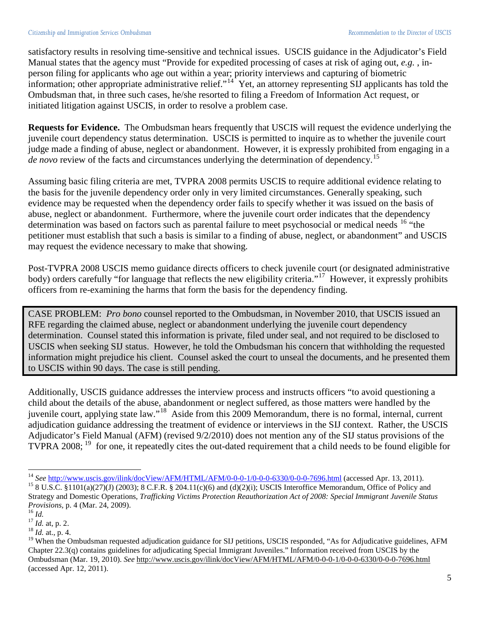satisfactory results in resolving time-sensitive and technical issues. USCIS guidance in the Adjudicator's Field Manual states that the agency must "Provide for expedited processing of cases at risk of aging out, *e.g.* , inperson filing for applicants who age out within a year; priority interviews and capturing of biometric information; other appropriate administrative relief."<sup>[14](#page-5-0)</sup> Yet, an attorney representing SIJ applicants has told the Ombudsman that, in three such cases, he/she resorted to filing a Freedom of Information Act request, or initiated litigation against USCIS, in order to resolve a problem case.

**Requests for Evidence.** The Ombudsman hears frequently that USCIS will request the evidence underlying the juvenile court dependency status determination. USCIS is permitted to inquire as to whether the juvenile court judge made a finding of abuse, neglect or abandonment. However, it is expressly prohibited from engaging in a *de novo* review of the facts and circumstances underlying the determination of dependency.<sup>[15](#page-5-1)</sup>

Assuming basic filing criteria are met, TVPRA 2008 permits USCIS to require additional evidence relating to the basis for the juvenile dependency order only in very limited circumstances. Generally speaking, such evidence may be requested when the dependency order fails to specify whether it was issued on the basis of abuse, neglect or abandonment. Furthermore, where the juvenile court order indicates that the dependency determination was based on factors such as parental failure to meet psychosocial or medical needs <sup>[16](#page-5-2)</sup> "the petitioner must establish that such a basis is similar to a finding of abuse, neglect, or abandonment" and USCIS may request the evidence necessary to make that showing.

Post-TVPRA 2008 USCIS memo guidance directs officers to check juvenile court (or designated administrative body) orders carefully "for language that reflects the new eligibility criteria."<sup>17</sup> However, it expressly prohibits officers from re-examining the harms that form the basis for the dependency finding.

CASE PROBLEM: *Pro bono* counsel reported to the Ombudsman, in November 2010, that USCIS issued an RFE regarding the claimed abuse, neglect or abandonment underlying the juvenile court dependency determination. Counsel stated this information is private, filed under seal, and not required to be disclosed to USCIS when seeking SIJ status. However, he told the Ombudsman his concern that withholding the requested information might prejudice his client. Counsel asked the court to unseal the documents, and he presented them to USCIS within 90 days. The case is still pending.

Additionally, USCIS guidance addresses the interview process and instructs officers "to avoid questioning a child about the details of the abuse, abandonment or neglect suffered, as those matters were handled by the juvenile court, applying state law."[18](#page-5-4) Aside from this 2009 Memorandum, there is no formal, internal, current adjudication guidance addressing the treatment of evidence or interviews in the SIJ context. Rather, the USCIS Adjudicator's Field Manual (AFM) (revised 9/2/2010) does not mention any of the SIJ status provisions of the TVPRA 2008;<sup>[19](#page-5-5)</sup> for one, it repeatedly cites the out-dated requirement that a child needs to be found eligible for

<span id="page-5-0"></span><sup>&</sup>lt;sup>14</sup> See http://www.uscis.gov/ilink/docView/AFM/HTML/AFM/0-0-0-1/0-0-0-6330/0-0-0-7696.html (accessed Apr. 13, 2011).

<span id="page-5-1"></span><sup>&</sup>lt;sup>15</sup> 8 U.S.C. §1101(a)(27)(J) (2003); 8 C.F.R. § 204.11(c)(6) and (d)(2)(i); USCIS Interoffice Memorandum, Office of Policy and Strategy and Domestic Operations, *Trafficking Victims Protection Reauthorization Act of 2008: Special Immigrant Juvenile Status Provisions,* p. 4 (Mar. 24, 2009). <sup>16</sup> *Id.* <sup>17</sup> *Id.* at*,* p. 2. <sup>18</sup> *Id.* at.*,* p. 4.

<span id="page-5-2"></span>

<span id="page-5-3"></span>

<span id="page-5-4"></span>

<span id="page-5-5"></span><sup>&</sup>lt;sup>19</sup> When the Ombudsman requested adjudication guidance for SIJ petitions, USCIS responded, "As for Adjudicative guidelines, AFM Chapter 22.3(q) contains guidelines for adjudicating Special Immigrant Juveniles." Information received from USCIS by the Ombudsman (Mar. 19, 2010). *See* <http://www.uscis.gov/ilink/docView/AFM/HTML/AFM/0-0-0-1/0-0-0-6330/0-0-0-7696.html> (accessed Apr. 12, 2011).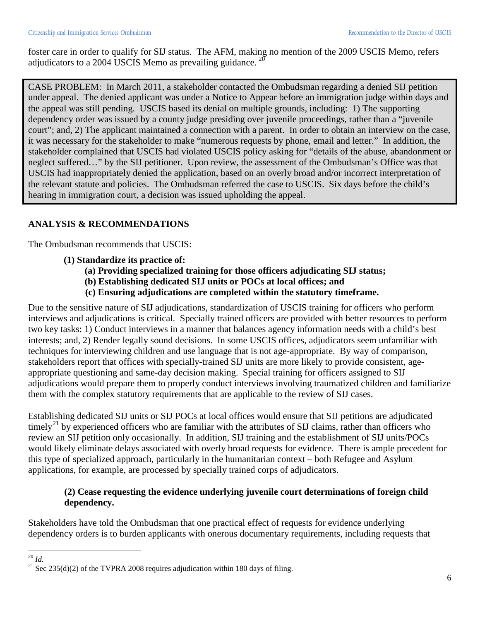foster care in order to qualify for SIJ status. The AFM, making no mention of the 2009 USCIS Memo, refers adjudicators to a [20](#page-6-0)04 USCIS Memo as prevailing guidance.  $^{20}$ 

CASE PROBLEM: In March 2011, a stakeholder contacted the Ombudsman regarding a denied SIJ petition under appeal. The denied applicant was under a Notice to Appear before an immigration judge within days and the appeal was still pending. USCIS based its denial on multiple grounds, including: 1) The supporting dependency order was issued by a county judge presiding over juvenile proceedings, rather than a "juvenile court"; and, 2) The applicant maintained a connection with a parent. In order to obtain an interview on the case, it was necessary for the stakeholder to make "numerous requests by phone, email and letter." In addition, the stakeholder complained that USCIS had violated USCIS policy asking for "details of the abuse, abandonment or neglect suffered…" by the SIJ petitioner. Upon review, the assessment of the Ombudsman's Office was that USCIS had inappropriately denied the application, based on an overly broad and/or incorrect interpretation of the relevant statute and policies. The Ombudsman referred the case to USCIS. Six days before the child's hearing in immigration court, a decision was issued upholding the appeal.

# **ANALYSIS & RECOMMENDATIONS**

The Ombudsman recommends that USCIS:

- **(1) Standardize its practice of:** 
	- **(a) Providing specialized training for those officers adjudicating SIJ status;**
	- **(b) Establishing dedicated SIJ units or POCs at local offices; and**
	- **(c) Ensuring adjudications are completed within the statutory timeframe.**

Due to the sensitive nature of SIJ adjudications, standardization of USCIS training for officers who perform interviews and adjudications is critical. Specially trained officers are provided with better resources to perform two key tasks: 1) Conduct interviews in a manner that balances agency information needs with a child's best interests; and, 2) Render legally sound decisions. In some USCIS offices, adjudicators seem unfamiliar with techniques for interviewing children and use language that is not age-appropriate. By way of comparison, stakeholders report that offices with specially-trained SIJ units are more likely to provide consistent, ageappropriate questioning and same-day decision making. Special training for officers assigned to SIJ adjudications would prepare them to properly conduct interviews involving traumatized children and familiarize them with the complex statutory requirements that are applicable to the review of SIJ cases.

Establishing dedicated SIJ units or SIJ POCs at local offices would ensure that SIJ petitions are adjudicated timely<sup>[21](#page-6-1)</sup> by experienced officers who are familiar with the attributes of SIJ claims, rather than officers who review an SIJ petition only occasionally. In addition, SIJ training and the establishment of SIJ units/POCs would likely eliminate delays associated with overly broad requests for evidence. There is ample precedent for this type of specialized approach, particularly in the humanitarian context – both Refugee and Asylum applications, for example, are processed by specially trained corps of adjudicators.

### **(2) Cease requesting the evidence underlying juvenile court determinations of foreign child dependency.**

Stakeholders have told the Ombudsman that one practical effect of requests for evidence underlying dependency orders is to burden applicants with onerous documentary requirements, including requests that

<span id="page-6-1"></span>

<span id="page-6-0"></span><sup>&</sup>lt;sup>20</sup> *Id.*  $^{20}$  *Id.* 255(d)(2) of the TVPRA 2008 requires adjudication within 180 days of filing.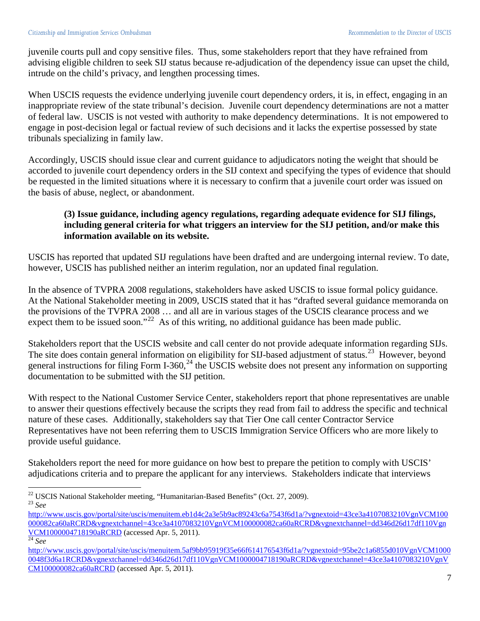juvenile courts pull and copy sensitive files. Thus, some stakeholders report that they have refrained from advising eligible children to seek SIJ status because re-adjudication of the dependency issue can upset the child, intrude on the child's privacy, and lengthen processing times.

When USCIS requests the evidence underlying juvenile court dependency orders, it is, in effect, engaging in an inappropriate review of the state tribunal's decision. Juvenile court dependency determinations are not a matter of federal law. USCIS is not vested with authority to make dependency determinations. It is not empowered to engage in post-decision legal or factual review of such decisions and it lacks the expertise possessed by state tribunals specializing in family law.

Accordingly, USCIS should issue clear and current guidance to adjudicators noting the weight that should be accorded to juvenile court dependency orders in the SIJ context and specifying the types of evidence that should be requested in the limited situations where it is necessary to confirm that a juvenile court order was issued on the basis of abuse, neglect, or abandonment.

# **(3) Issue guidance, including agency regulations, regarding adequate evidence for SIJ filings, including general criteria for what triggers an interview for the SIJ petition, and/or make this information available on its website.**

USCIS has reported that updated SIJ regulations have been drafted and are undergoing internal review. To date, however, USCIS has published neither an interim regulation, nor an updated final regulation.

In the absence of TVPRA 2008 regulations, stakeholders have asked USCIS to issue formal policy guidance. At the National Stakeholder meeting in 2009, USCIS stated that it has "drafted several guidance memoranda on the provisions of the TVPRA 2008 … and all are in various stages of the USCIS clearance process and we expect them to be issued soon."<sup>22</sup> As of this writing, no additional guidance has been made public.

Stakeholders report that the USCIS website and call center do not provide adequate information regarding SIJs. The site does contain general information on eligibility for SIJ-based adjustment of status.<sup>[23](#page-7-1)</sup> However, beyond general instructions for filing Form I-360,<sup>[24](#page-7-2)</sup> the USCIS website does not present any information on supporting documentation to be submitted with the SIJ petition.

With respect to the National Customer Service Center, stakeholders report that phone representatives are unable to answer their questions effectively because the scripts they read from fail to address the specific and technical nature of these cases. Additionally, stakeholders say that Tier One call center Contractor Service Representatives have not been referring them to USCIS Immigration Service Officers who are more likely to provide useful guidance.

Stakeholders report the need for more guidance on how best to prepare the petition to comply with USCIS' adjudications criteria and to prepare the applicant for any interviews. Stakeholders indicate that interviews

<span id="page-7-1"></span><span id="page-7-0"></span><sup>22</sup> USCIS National Stakeholder meeting, "Humanitarian-Based Benefits" (Oct. 27, 2009). <sup>23</sup> *See*

[http://www.uscis.gov/portal/site/uscis/menuitem.eb1d4c2a3e5b9ac89243c6a7543f6d1a/?vgnextoid=43ce3a4107083210VgnVCM100](http://www.uscis.gov/portal/site/uscis/menuitem.eb1d4c2a3e5b9ac89243c6a7543f6d1a/?vgnextoid=43ce3a4107083210VgnVCM100000082ca60aRCRD&vgnextchannel=43ce3a4107083210VgnVCM100000082ca60aRCRD) [000082ca60aRCRD&vgnextchannel=43ce3a4107083210VgnVCM100000082ca60aRCRD&vgnextchannel=dd346d26d17df110Vgn](http://www.uscis.gov/portal/site/uscis/menuitem.eb1d4c2a3e5b9ac89243c6a7543f6d1a/?vgnextoid=43ce3a4107083210VgnVCM100000082ca60aRCRD&vgnextchannel=43ce3a4107083210VgnVCM100000082ca60aRCRD) VCM1000004718190aRCRD (accessed Apr. 5, 2011). <sup>24</sup> *See* 

<span id="page-7-2"></span>[http://www.uscis.gov/portal/site/uscis/menuitem.5af9bb95919f35e66f614176543f6d1a/?vgnextoid=95be2c1a6855d010VgnVCM1000](http://www.uscis.gov/portal/site/uscis/menuitem.5af9bb95919f35e66f614176543f6d1a/?vgnextoid=95be2c1a6855d010VgnVCM10000048f3d6a1RCRD&vgnextchannel=dd346d26d17df110VgnVCM1000004718190aRCRD) [0048f3d6a1RCRD&vgnextchannel=dd346d26d17df110VgnVCM1000004718190aRCRD&vgnextchannel=43ce3a4107083210VgnV](http://www.uscis.gov/portal/site/uscis/menuitem.5af9bb95919f35e66f614176543f6d1a/?vgnextoid=95be2c1a6855d010VgnVCM10000048f3d6a1RCRD&vgnextchannel=dd346d26d17df110VgnVCM1000004718190aRCRD) CM100000082ca60aRCRD (accessed Apr. 5, 2011).